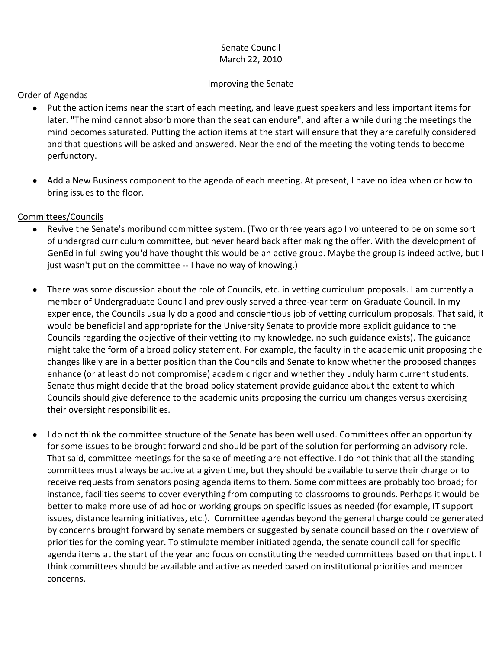# Senate Council March 22, 2010

### Improving the Senate

### Order of Agendas

- Put the action items near the start of each meeting, and leave guest speakers and less important items for later. "The mind cannot absorb more than the seat can endure", and after a while during the meetings the mind becomes saturated. Putting the action items at the start will ensure that they are carefully considered and that questions will be asked and answered. Near the end of the meeting the voting tends to become perfunctory.
- Add a New Business component to the agenda of each meeting. At present, I have no idea when or how to bring issues to the floor.

## Committees/Councils

- Revive the Senate's moribund committee system. (Two or three years ago I volunteered to be on some sort of undergrad curriculum committee, but never heard back after making the offer. With the development of GenEd in full swing you'd have thought this would be an active group. Maybe the group is indeed active, but I just wasn't put on the committee -- I have no way of knowing.)
- There was some discussion about the role of Councils, etc. in vetting curriculum proposals. I am currently a  $\bullet$ member of Undergraduate Council and previously served a three-year term on Graduate Council. In my experience, the Councils usually do a good and conscientious job of vetting curriculum proposals. That said, it would be beneficial and appropriate for the University Senate to provide more explicit guidance to the Councils regarding the objective of their vetting (to my knowledge, no such guidance exists). The guidance might take the form of a broad policy statement. For example, the faculty in the academic unit proposing the changes likely are in a better position than the Councils and Senate to know whether the proposed changes enhance (or at least do not compromise) academic rigor and whether they unduly harm current students. Senate thus might decide that the broad policy statement provide guidance about the extent to which Councils should give deference to the academic units proposing the curriculum changes versus exercising their oversight responsibilities.
- I do not think the committee structure of the Senate has been well used. Committees offer an opportunity for some issues to be brought forward and should be part of the solution for performing an advisory role. That said, committee meetings for the sake of meeting are not effective. I do not think that all the standing committees must always be active at a given time, but they should be available to serve their charge or to receive requests from senators posing agenda items to them. Some committees are probably too broad; for instance, facilities seems to cover everything from computing to classrooms to grounds. Perhaps it would be better to make more use of ad hoc or working groups on specific issues as needed (for example, IT support issues, distance learning initiatives, etc.). Committee agendas beyond the general charge could be generated by concerns brought forward by senate members or suggested by senate council based on their overview of priorities for the coming year. To stimulate member initiated agenda, the senate council call for specific agenda items at the start of the year and focus on constituting the needed committees based on that input. I think committees should be available and active as needed based on institutional priorities and member concerns.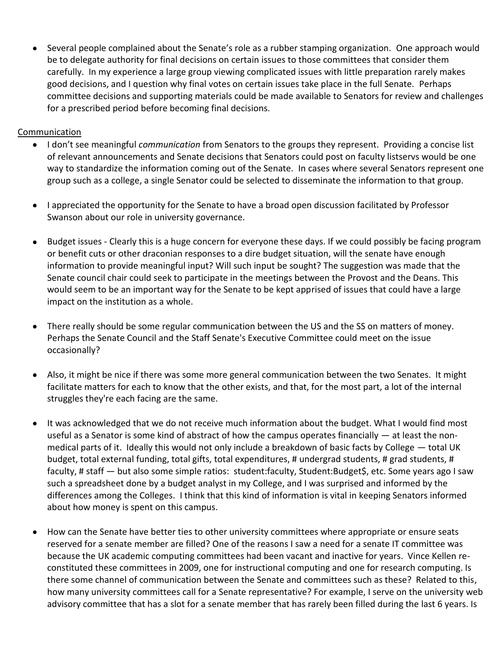Several people complained about the Senate's role as a rubber stamping organization. One approach would be to delegate authority for final decisions on certain issues to those committees that consider them carefully. In my experience a large group viewing complicated issues with little preparation rarely makes good decisions, and I question why final votes on certain issues take place in the full Senate. Perhaps committee decisions and supporting materials could be made available to Senators for review and challenges for a prescribed period before becoming final decisions.

### Communication

- I don't see meaningful *communication* from Senators to the groups they represent. Providing a concise list of relevant announcements and Senate decisions that Senators could post on faculty listservs would be one way to standardize the information coming out of the Senate. In cases where several Senators represent one group such as a college, a single Senator could be selected to disseminate the information to that group.
- I appreciated the opportunity for the Senate to have a broad open discussion facilitated by Professor Swanson about our role in university governance.
- Budget issues Clearly this is a huge concern for everyone these days. If we could possibly be facing program or benefit cuts or other draconian responses to a dire budget situation, will the senate have enough information to provide meaningful input? Will such input be sought? The suggestion was made that the Senate council chair could seek to participate in the meetings between the Provost and the Deans. This would seem to be an important way for the Senate to be kept apprised of issues that could have a large impact on the institution as a whole.
- There really should be some regular communication between the US and the SS on matters of money. Perhaps the Senate Council and the Staff Senate's Executive Committee could meet on the issue occasionally?
- Also, it might be nice if there was some more general communication between the two Senates. It might facilitate matters for each to know that the other exists, and that, for the most part, a lot of the internal struggles they're each facing are the same.
- It was acknowledged that we do not receive much information about the budget. What I would find most  $\bullet$ useful as a Senator is some kind of abstract of how the campus operates financially — at least the nonmedical parts of it. Ideally this would not only include a breakdown of basic facts by College — total UK budget, total external funding, total gifts, total expenditures, # undergrad students, # grad students, # faculty, # staff — but also some simple ratios: student:faculty, Student:Budget\$, etc. Some years ago I saw such a spreadsheet done by a budget analyst in my College, and I was surprised and informed by the differences among the Colleges. I think that this kind of information is vital in keeping Senators informed about how money is spent on this campus.
- How can the Senate have better ties to other university committees where appropriate or ensure seats reserved for a senate member are filled? One of the reasons I saw a need for a senate IT committee was because the UK academic computing committees had been vacant and inactive for years. Vince Kellen reconstituted these committees in 2009, one for instructional computing and one for research computing. Is there some channel of communication between the Senate and committees such as these? Related to this, how many university committees call for a Senate representative? For example, I serve on the university web advisory committee that has a slot for a senate member that has rarely been filled during the last 6 years. Is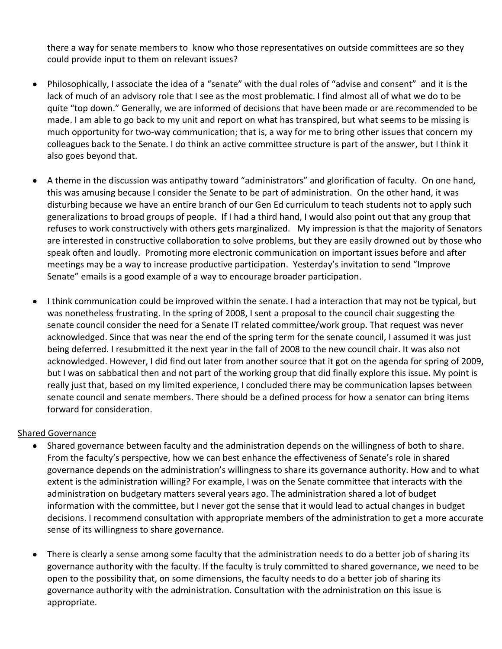there a way for senate members to know who those representatives on outside committees are so they could provide input to them on relevant issues?

- Philosophically, I associate the idea of a "senate" with the dual roles of "advise and consent" and it is the lack of much of an advisory role that I see as the most problematic. I find almost all of what we do to be quite "top down." Generally, we are informed of decisions that have been made or are recommended to be made. I am able to go back to my unit and report on what has transpired, but what seems to be missing is much opportunity for two-way communication; that is, a way for me to bring other issues that concern my colleagues back to the Senate. I do think an active committee structure is part of the answer, but I think it also goes beyond that.
- A theme in the discussion was antipathy toward "administrators" and glorification of faculty. On one hand, this was amusing because I consider the Senate to be part of administration. On the other hand, it was disturbing because we have an entire branch of our Gen Ed curriculum to teach students not to apply such generalizations to broad groups of people. If I had a third hand, I would also point out that any group that refuses to work constructively with others gets marginalized. My impression is that the majority of Senators are interested in constructive collaboration to solve problems, but they are easily drowned out by those who speak often and loudly. Promoting more electronic communication on important issues before and after meetings may be a way to increase productive participation. Yesterday's invitation to send "Improve Senate" emails is a good example of a way to encourage broader participation.
- I think communication could be improved within the senate. I had a interaction that may not be typical, but was nonetheless frustrating. In the spring of 2008, I sent a proposal to the council chair suggesting the senate council consider the need for a Senate IT related committee/work group. That request was never acknowledged. Since that was near the end of the spring term for the senate council, I assumed it was just being deferred. I resubmitted it the next year in the fall of 2008 to the new council chair. It was also not acknowledged. However, I did find out later from another source that it got on the agenda for spring of 2009, but I was on sabbatical then and not part of the working group that did finally explore this issue. My point is really just that, based on my limited experience, I concluded there may be communication lapses between senate council and senate members. There should be a defined process for how a senator can bring items forward for consideration.

### Shared Governance

- Shared governance between faculty and the administration depends on the willingness of both to share. From the faculty's perspective, how we can best enhance the effectiveness of Senate's role in shared governance depends on the administration's willingness to share its governance authority. How and to what extent is the administration willing? For example, I was on the Senate committee that interacts with the administration on budgetary matters several years ago. The administration shared a lot of budget information with the committee, but I never got the sense that it would lead to actual changes in budget decisions. I recommend consultation with appropriate members of the administration to get a more accurate sense of its willingness to share governance.
- There is clearly a sense among some faculty that the administration needs to do a better job of sharing its governance authority with the faculty. If the faculty is truly committed to shared governance, we need to be open to the possibility that, on some dimensions, the faculty needs to do a better job of sharing its governance authority with the administration. Consultation with the administration on this issue is appropriate.